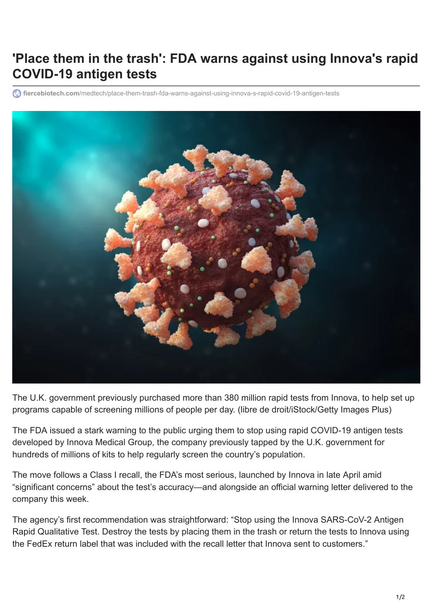## **'Place them in the trash': FDA warns against using Innova's rapid COVID-19 antigen tests**

**fiercebiotech.com**[/medtech/place-them-trash-fda-warns-against-using-innova-s-rapid-covid-19-antigen-tests](https://www.fiercebiotech.com/medtech/place-them-trash-fda-warns-against-using-innova-s-rapid-covid-19-antigen-tests)



The U.K. government previously purchased more than 380 million rapid tests from Innova, to help set up programs capable of screening millions of people per day. (libre de droit/iStock/Getty Images Plus)

The FDA issued a stark warning to the public urging them to stop using rapid COVID-19 antigen tests developed by Innova Medical Group, the company previously tapped by the U.K. government for hundreds of millions of kits to help regularly screen the country's population.

The move follows a Class I recall, the FDA's most serious, launched by Innova in late April amid "significant concerns" about the test's accuracy—and alongside an [official warning letter](https://www.fda.gov/inspections-compliance-enforcement-and-criminal-investigations/warning-letters/innova-medical-group-inc-614819-06102021) delivered to the company this week.

The agency's [first recommendation](https://www.fda.gov/medical-devices/safety-communications/stop-using-innova-sars-cov-2-antigen-rapid-qualitative-test-fda-safety-communication) was straightforward: "Stop using the Innova SARS-CoV-2 Antigen Rapid Qualitative Test. Destroy the tests by placing them in the trash or return the tests to Innova using the FedEx return label that was included with the recall letter that Innova sent to customers."